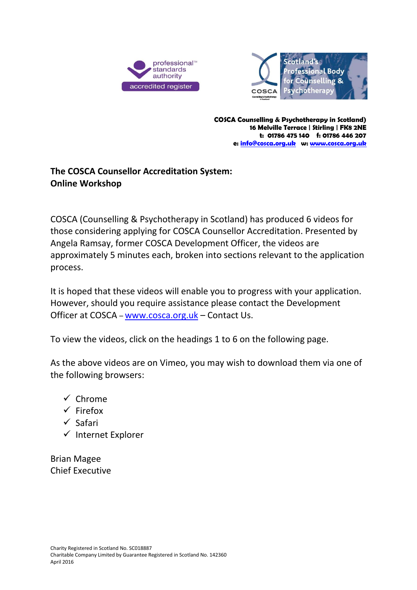



**COSCA Counselling & Psychotherapy in Scotland) 16 Melville Terrace | Stirling | FK8 2NE t: 01786 475 140 f: 01786 446 207 e: [info@cosca.org.uk](mailto:info@cosca.org.uk) w[: www.cosca.org.uk](http://www.cosca.org.uk/)**

## **The COSCA Counsellor Accreditation System: Online Workshop**

COSCA (Counselling & Psychotherapy in Scotland) has produced 6 videos for those considering applying for COSCA Counsellor Accreditation. Presented by Angela Ramsay, former COSCA Development Officer, the videos are approximately 5 minutes each, broken into sections relevant to the application process.

It is hoped that these videos will enable you to progress with your application. However, should you require assistance please contact the Development Officer at COSCA – [www.cosca.org.uk](http://www.cosca.org.uk/) – Contact Us.

To view the videos, click on the headings 1 to 6 on the following page.

As the above videos are on Vimeo, you may wish to download them via one of the following browsers:

- $\checkmark$  Chrome
- $\checkmark$  Firefox
- $\checkmark$  Safari
- $\checkmark$  Internet Explorer

Brian Magee Chief Executive